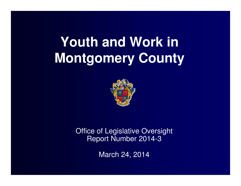# **Youth and Work in Montgomery County**



Office of Legislative Oversight Report Number 2014-3

March 24, 2014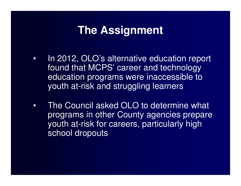### **The Assignment**

- • In 2012, OLO's alternative education report found that MCPS' career and technology education programs were inaccessible to youth at-risk and struggling learners
- • The Council asked OLO to determine what programs in other County agencies prepare youth at-risk for careers, particularly high school dropouts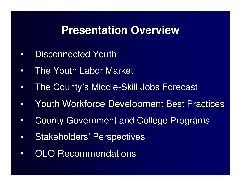### **Presentation Overview**

- $\bullet$ Disconnected Youth
- •The Youth Labor Market
- •The County's Middle-Skill Jobs Forecast
- •Youth Workforce Development Best Practices
- •County Government and College Programs
- •Stakeholders' Perspectives
- •OLO Recommendations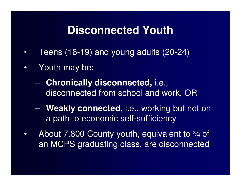### **Disconnected Youth**

- •Teens (16-19) and young adults (20-24)
- $\bullet$  Youth may be:
	- $\mathcal{L}_{\mathcal{A}}$  , where  $\mathcal{L}_{\mathcal{A}}$  is the set of the set of the set of the set of the set of the set of the set of the set of the set of the set of the set of the set of the set of the set of the set of the set of the **Chronically disconnected,** i.e., disconnected from school and work, OR
	- $\mathcal{L}_{\mathcal{A}}$  **Weakly connected,** i.e., working but not on a path to economic self-sufficiency
- •About 7,800 County youth, equivalent to  $\frac{3}{4}$  of an MCPS graduating class, are disconnected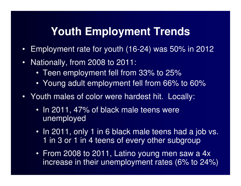## **Youth Employment Trends**

- $\bullet$ Employment rate for youth (16-24) was 50% in 2012
- $\bullet$  Nationally, from 2008 to 2011:
	- Teen employment fell from 33% to 25%
	- Young adult employment fell from 66% to 60%
- Youth males of color were hardest hit. Locally:
	- In 2011, 47% of black male teens were unemployed
	- In 2011, only 1 in 6 black male teens had a job vs. 1 in 3 or 1 in 4 teens of every other subgroup
	- From 2008 to 2011, Latino young men saw a 4x increase in their unemployment rates (6% to 24%)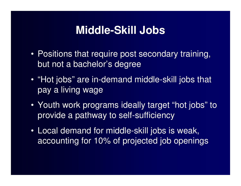## **Middle-Skill Jobs**

- Positions that require post secondary training, but not a bachelor's degree
- "Hot jobs" are in-demand middle-skill jobs that pay a living wage
- Youth work programs ideally target "hot jobs" to provide a pathway to self-sufficiency
- Local demand for middle-skill jobs is weak, accounting for 10% of projected job openings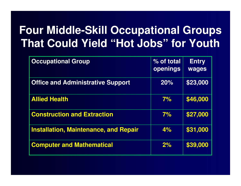## **Four Middle-Skill Occupational Groups That Could Yield "Hot Jobs" for Youth**

| <b>Occupational Group</b>                    | % of total<br>openings | <b>Entry</b><br><b>wages</b> |
|----------------------------------------------|------------------------|------------------------------|
| <b>Office and Administrative Support</b>     | 20%                    | \$23,000                     |
| <b>Allied Health</b>                         | 7%                     | \$46,000                     |
| <b>Construction and Extraction</b>           | 7%                     | \$27,000                     |
| <b>Installation, Maintenance, and Repair</b> | 4%                     | \$31,000                     |
| <b>Computer and Mathematical</b>             | 2%                     | \$39,000                     |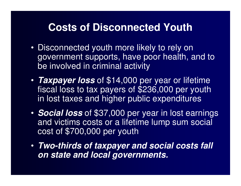#### **Costs of Disconnected Youth**

- Disconnected youth more likely to rely on government supports, have poor health, and to be involved in criminal activity
- • **Taxpayer loss** of \$14,000 per year or lifetime fiscal loss to tax payers of \$236,000 per youth in lost taxes and higher public expenditures
- • **Social loss** of \$37,000 per year in lost earnings and victims costs or a lifetime lump sum social cost of \$700,000 per youth
- **Two-thirds of taxpayer and social costs fall on state and local governments.**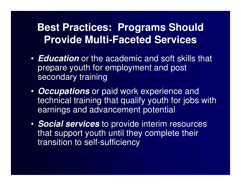### **Best Practices: Programs ShouldProvide Multi-Faceted Services**

- **Education** or the academic and soft skills that prepare youth for employment and post secondary training
- **Occupations** or paid work experience and technical training that qualify youth for jobs withearnings and advancement potential
- **Social services** to provide interim resources that support youth until they complete their transition to self-sufficiency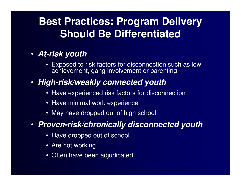## **Best Practices: Program Delivery Should Be Differentiated**

#### • **At-risk youth**

 • Exposed to risk factors for disconnection such as low achievement, gang involvement or parenting

#### • **High-risk/weakly connected youth**

- Have experienced risk factors for disconnection
- Have minimal work experience
- May have dropped out of high school

#### • **Proven-risk/chronically disconnected youth**

- Have dropped out of school
- Are not working
- Often have been adjudicated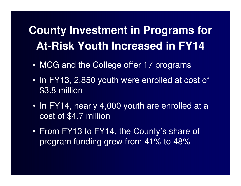## **County Investment in Programs for At-Risk Youth Increased in FY14**

- MCG and the College offer 17 programs
- In FY13, 2,850 youth were enrolled at cost of \$3.8 million
- In FY14, nearly 4,000 youth are enrolled at a cost of \$4.7 million
- From FY13 to FY14, the County's share of program funding grew from 41% to 48%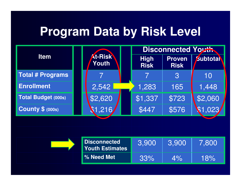## **Program Data by Risk Level**

|                                               |  |                            |                              | <b>Disconnected Youth</b> |                |         |
|-----------------------------------------------|--|----------------------------|------------------------------|---------------------------|----------------|---------|
| <b>At-Risk</b><br><b>Item</b><br><b>Youth</b> |  | <b>High</b><br><b>Risk</b> | <b>Proven</b><br><b>Risk</b> | <b>Subtotal</b>           |                |         |
| <b>Total # Programs</b>                       |  |                            |                              |                           | $\overline{3}$ | 10      |
| <b>Enrollment</b>                             |  | 2,542                      |                              | 1,283                     | 165            | 1,448   |
| <b>Total Budget (000s)</b>                    |  | \$2,620                    |                              | \$1,337                   | \$723          | \$2,060 |
| <b>County \$ (000s)</b>                       |  | \$1,216                    |                              | \$447                     | \$576          | (1,023) |

| 3.900<br>3.900<br>Youth Estimates  | 7,800 |
|------------------------------------|-------|
| <b>∣% Need Met</b><br>$4\%$<br>33% | 18%   |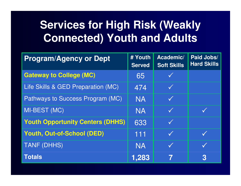## **Services for High Risk (Weakly Connected) Youth and Adults**

| <b>Program/Agency or Dept</b>           | # Youth<br><b>Served</b> | Academic/<br><b>Soft Skills</b> | Paid Jobs/<br><b>Hard Skills</b> |
|-----------------------------------------|--------------------------|---------------------------------|----------------------------------|
| <b>Gateway to College (MC)</b>          | 65                       |                                 |                                  |
| Life Skills & GED Preparation (MC)      | 474                      | $\checkmark$                    |                                  |
| Pathways to Success Program (MC)        | <b>NA</b>                | $\checkmark$                    |                                  |
| MI-BEST (MC)                            | <b>NA</b>                | $\checkmark$                    |                                  |
| <b>Youth Opportunity Centers (DHHS)</b> | 633                      | K                               |                                  |
| <b>Youth, Out-of-School (DED)</b>       | 111                      | $\checkmark$                    |                                  |
| <b>TANF (DHHS)</b>                      | <b>NA</b>                | <b>KA</b>                       |                                  |
| <b>Totals</b>                           | 1,283                    |                                 | 3                                |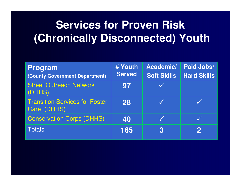## **Services for Proven Risk(Chronically Disconnected) Youth**

| <b>Program</b><br>(County Government Department)     | # Youth<br><b>Served</b> | Academic/<br><b>Soft Skills</b> | Paid Jobs/<br><b>Hard Skills</b> |
|------------------------------------------------------|--------------------------|---------------------------------|----------------------------------|
| <b>Street Outreach Network</b><br>(DHHS)             | 97                       |                                 |                                  |
| <b>Transition Services for Foster</b><br>Care (DHHS) | 28                       |                                 |                                  |
| <b>Conservation Corps (DHHS)</b>                     | 40                       |                                 |                                  |
| Totals                                               | 165                      | 3                               | $\mathbf{2}$                     |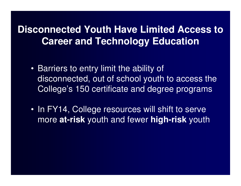### **Disconnected Youth Have Limited Access to Career and Technology Education**

- Barriers to entry limit the ability of disconnected, out of school youth to access the College's 150 certificate and degree programs
- In FY14, College resources will shift to serve more **at-risk** youth and fewer **high-risk** youth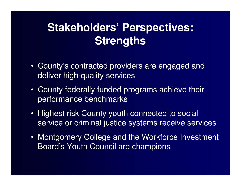## **Stakeholders' Perspectives:Strengths**

- County's contracted providers are engaged and deliver high-quality services
- County federally funded programs achieve their performance benchmarks
- Highest risk County youth connected to social service or criminal justice systems receive services
- Montgomery College and the Workforce Investment Board's Youth Council are champions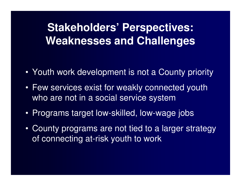## **Stakeholders' Perspectives:Weaknesses and Challenges**

- Youth work development is not a County priority
- Few services exist for weakly connected youth who are not in a social service system
- Programs target low-skilled, low-wage jobs
- $\bullet$  County programs are not tied to a larger strategy of connecting at-risk youth to work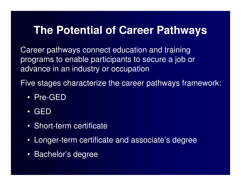## **The Potential of Career Pathways**

Career pathways connect education and training programs to enable participants to secure a job or advance in an industry or occupation

Five stages characterize the career pathways framework:

- Pre-GED
- •GED
- Short-term certificate
- Longer-term certificate and associate's degree
- $\bullet$ Bachelor's degree